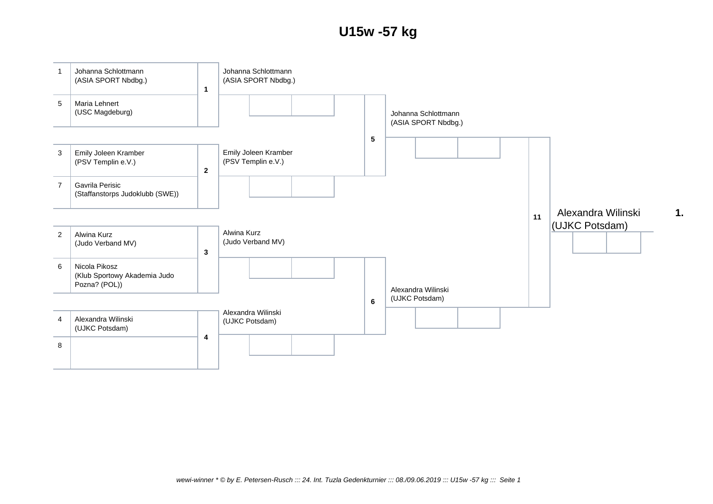## **U15w -57 kg**